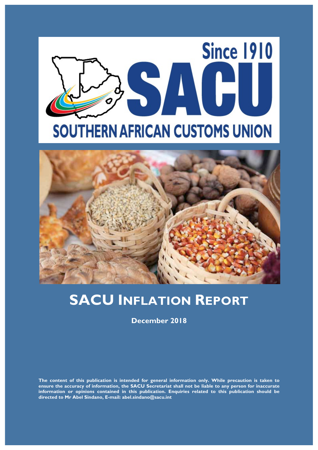



# **SACU INFLATION REPORT**

**December 2018**

**The content of this publication is intended for general information only. While precaution is taken to ensure the accuracy of information, the SACU Secretariat shall not be liable to any person for inaccurate information or opinions contained in this publication. Enquiries related to this publication should be directed to Mr Abel Sindano, E-mail: abel.sindano@sacu.int**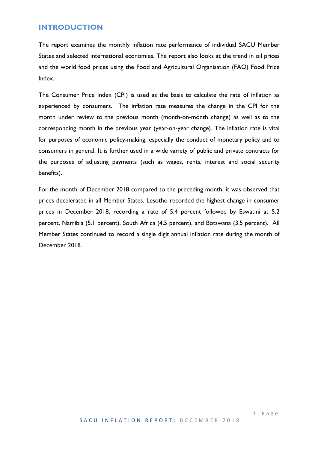#### **INTRODUCTION**

The report examines the monthly inflation rate performance of individual SACU Member States and selected international economies. The report also looks at the trend in oil prices and the world food prices using the Food and Agricultural Organisation (FAO) Food Price Index.

The Consumer Price Index (CPI) is used as the basis to calculate the rate of inflation as experienced by consumers. The inflation rate measures the change in the CPI for the month under review to the previous month (month-on-month change) as well as to the corresponding month in the previous year (year-on-year change). The inflation rate is vital for purposes of economic policy-making, especially the conduct of monetary policy and to consumers in general. It is further used in a wide variety of public and private contracts for the purposes of adjusting payments (such as wages, rents, interest and social security benefits).

For the month of December 2018 compared to the preceding month, it was observed that prices decelerated in all Member States. Lesotho recorded the highest change in consumer prices in December 2018, recording a rate of 5.4 percent followed by Eswatini at 5.2 percent, Namibia (5.1 percent), South Africa (4.5 percent), and Botswana (3.5 percent). All Member States continued to record a single digit annual inflation rate during the month of December 2018.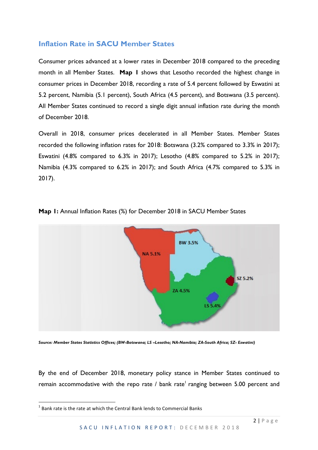#### **Inflation Rate in SACU Member States**

Consumer prices advanced at a lower rates in December 2018 compared to the preceding month in all Member States. **Map 1** shows that Lesotho recorded the highest change in consumer prices in December 2018, recording a rate of 5.4 percent followed by Eswatini at 5.2 percent, Namibia (5.1 percent), South Africa (4.5 percent), and Botswana (3.5 percent). All Member States continued to record a single digit annual inflation rate during the month of December 2018.

Overall in 2018, consumer prices decelerated in all Member States. Member States recorded the following inflation rates for 2018: Botswana (3.2% compared to 3.3% in 2017); Eswatini (4.8% compared to 6.3% in 2017); Lesotho (4.8% compared to 5.2% in 2017); Namibia (4.3% compared to 6.2% in 2017); and South Africa (4.7% compared to 5.3% in 2017).



**Map 1:** Annual Inflation Rates (%) for December 2018 in SACU Member States

*Source: Member States Statistics Offices; (BW-Botswana; LS –Lesotho; NA-Namibia; ZA-South Africa; SZ- Eswatini)*

By the end of December 2018, monetary policy stance in Member States continued to remain accommodative with the repo rate  $/$  bank rate<sup>1</sup> ranging between 5.00 percent and

<u> 1989 - Jan Samuel Barbara, político establecido de la provincia de la provincia de la provincia de la provinci</u>

 $1$  Bank rate is the rate at which the Central Bank lends to Commercial Banks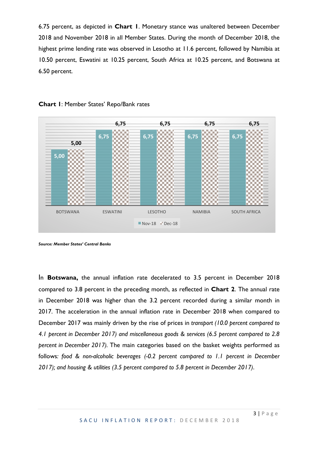6.75 percent, as depicted in **Chart 1**. Monetary stance was unaltered between December 2018 and November 2018 in all Member States. During the month of December 2018, the highest prime lending rate was observed in Lesotho at 11.6 percent, followed by Namibia at 10.50 percent, Eswatini at 10.25 percent, South Africa at 10.25 percent, and Botswana at 6.50 percent.





In **Botswana,** the annual inflation rate decelerated to 3.5 percent in December 2018 compared to 3.8 percent in the preceding month, as reflected in **Chart 2**. The annual rate in December 2018 was higher than the 3.2 percent recorded during a similar month in 2017. The acceleration in the annual inflation rate in December 2018 when compared to December 2017 was mainly driven by the rise of prices in *transport (10.0 percent compared to 4.1 percent in December 2017) and miscellaneous goods & services (6.5 percent compared to 2.8 percent in December 2017).* The main categories based on the basket weights performed as follows*: food & non-alcoholic beverages (-0.2 percent compared to 1.1 percent in December 2017); and housing & utilities (3.5 percent compared to 5.8 percent in December 2017)*.

*Source: Member States' Central Banks*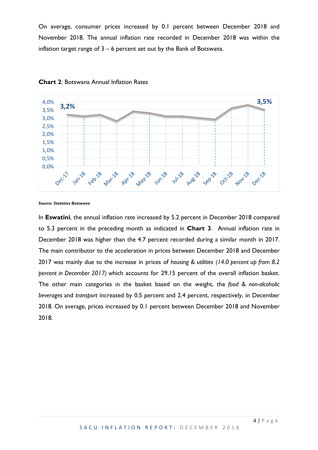On average, consumer prices increased by 0.1 percent between December 2018 and November 2018. The annual inflation rate recorded in December 2018 was within the inflation target range of  $3 - 6$  percent set out by the Bank of Botswana.



**Chart 2**: Botswana Annual Inflation Rates

*Source: Statistics Botswana*

In **Eswatini**, the annual inflation rate increased by 5.2 percent in December 2018 compared to 5.3 percent in the preceding month as indicated in **Chart 3**. Annual inflation rate in December 2018 was higher than the 4.7 percent recorded during a similar month in 2017. The main contributor to the acceleration in prices between December 2018 and December 2017 was mainly due to the increase in prices of *housing & utilities (14.0 percent up from 8.2 percent in December 2017) w*hich accounts for 29.15 percent of the overall inflation basket. The other main categories in the basket based on the weight, the *food & non-alcoholic beverages* and *transport* increased by 0.5 percent and 2.4 percent, respectively, in December 2018. On average, prices increased by 0.1 percent between December 2018 and November 2018.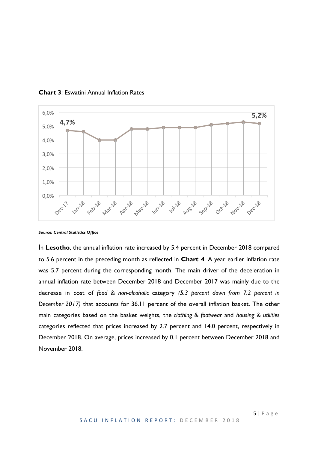

**Chart 3**: Eswatini Annual Inflation Rates

In **Lesotho**, the annual inflation rate increased by 5.4 percent in December 2018 compared to 5.6 percent in the preceding month as reflected in **Chart 4**. A year earlier inflation rate was 5.7 percent during the corresponding month. The main driver of the deceleration in annual inflation rate between December 2018 and December 2017 was mainly due to the decrease in cost of *food & non-alcoholic* category *(5.3 percent down from 7.2 percent in December 2017)* that accounts for 36.11 percent of the overall inflation basket. The other main categories based on the basket weights, the *clothing & footwear* and *housing & utilities*  categories reflected that prices increased by 2.7 percent and 14.0 percent, respectively in December 2018. On average, prices increased by 0.1 percent between December 2018 and November 2018.

*Source: Central Statistics Office*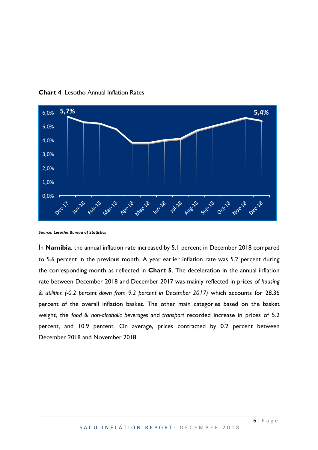

**Chart 4**: Lesotho Annual Inflation Rates

In **Namibia**, the annual inflation rate increased by 5.1 percent in December 2018 compared to 5.6 percent in the previous month. A year earlier inflation rate was 5.2 percent during the corresponding month as reflected in **Chart 5**. The deceleration in the annual inflation rate between December 2018 and December 2017 was mainly reflected in prices of *housing & utilities (-0.2 percent down from 9.2 percent in December 2017)* which accounts for 28.36 percent of the overall inflation basket. The other main categories based on the basket weight, the *food & non-alcoholic beverages* and *transport* recorded increase in prices of 5.2 percent, and 10.9 percent. On average, prices contracted by 0.2 percent between December 2018 and November 2018.

*Source: Lesotho Bureau of Statistics*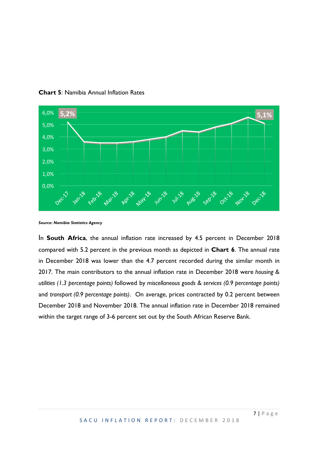

**Chart 5**: Namibia Annual Inflation Rates

In **South Africa**, the annual inflation rate increased by 4.5 percent in December 2018 compared with 5.2 percent in the previous month as depicted in **Chart 6**. The annual rate in December 2018 was lower than the 4.7 percent recorded during the similar month in 2017. The main contributors to the annual inflation rate in December 2018 were *housing & utilities (1.3 percentage points)* followed by *miscellaneous goods & services (0.9 percentage points)* and *transport (0.9 percentage points)*. On average, prices contracted by 0.2 percent between December 2018 and November 2018. The annual inflation rate in December 2018 remained within the target range of 3-6 percent set out by the South African Reserve Bank.

*Source: Namibia Statistics Agency*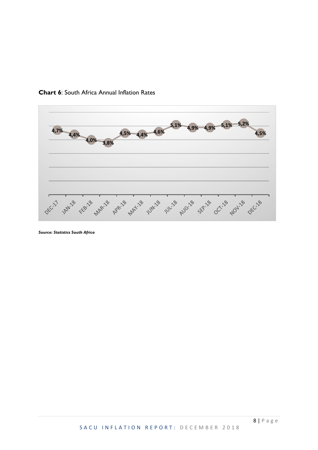

**Chart 6**: South Africa Annual Inflation Rates

*Source: Statistics South Africa*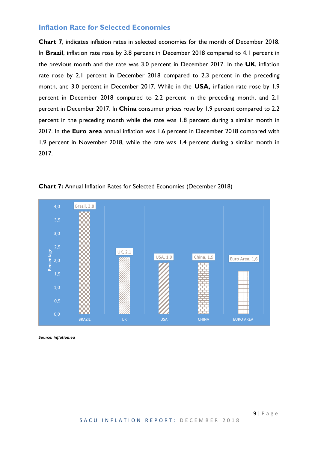#### **Inflation Rate for Selected Economies**

**Chart 7**, indicates inflation rates in selected economies for the month of December 2018. In **Brazil**, inflation rate rose by 3.8 percent in December 2018 compared to 4.1 percent in the previous month and the rate was 3.0 percent in December 2017. In the **UK**, inflation rate rose by 2.1 percent in December 2018 compared to 2.3 percent in the preceding month, and 3.0 percent in December 2017. While in the **USA,** inflation rate rose by 1.9 percent in December 2018 compared to 2.2 percent in the preceding month, and 2.1 percent in December 2017. In **China** consumer prices rose by 1.9 percent compared to 2.2 percent in the preceding month while the rate was 1.8 percent during a similar month in 2017. In the **Euro area** annual inflation was 1.6 percent in December 2018 compared with 1.9 percent in November 2018, while the rate was 1.4 percent during a similar month in 2017.



**Chart 7:** Annual Inflation Rates for Selected Economies (December 2018)

*Source: inflation.eu*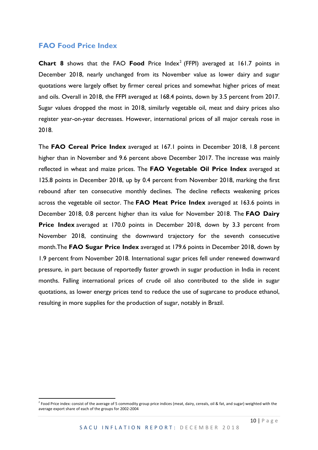#### **FAO Food Price Index**

 

**Chart 8** shows that the FAO **Food** Price Index<sup>2</sup> (FFPI) averaged at 161.7 points in December 2018, nearly unchanged from its November value as lower dairy and sugar quotations were largely offset by firmer cereal prices and somewhat higher prices of meat and oils. Overall in 2018, the FFPI averaged at 168.4 points, down by 3.5 percent from 2017. Sugar values dropped the most in 2018, similarly vegetable oil, meat and dairy prices also register year-on-year decreases. However, international prices of all major cereals rose in 2018.

The **FAO Cereal Price Index** averaged at 167.1 points in December 2018, 1.8 percent higher than in November and 9.6 percent above December 2017. The increase was mainly reflected in wheat and maize prices. The **FAO Vegetable Oil Price Index** averaged at 125.8 points in December 2018, up by 0.4 percent from November 2018, marking the first rebound after ten consecutive monthly declines. The decline reflects weakening prices across the vegetable oil sector. The **FAO Meat Price Index** averaged at 163.6 points in December 2018, 0.8 percent higher than its value for November 2018. The **FAO Dairy Price Index** averaged at 170.0 points in December 2018, down by 3.3 percent from November 2018, continuing the downward trajectory for the seventh consecutive month.The **FAO Sugar Price Index** averaged at 179.6 points in December 2018, down by 1.9 percent from November 2018. International sugar prices fell under renewed downward pressure, in part because of reportedly faster growth in sugar production in India in recent months. Falling international prices of crude oil also contributed to the slide in sugar quotations, as lower energy prices tend to reduce the use of sugarcane to produce ethanol, resulting in more supplies for the production of sugar, notably in Brazil.

<sup>&</sup>lt;sup>2</sup> Food Price index: consist of the average of 5 commodity group price indices (meat, dairy, cereals, oil & fat, and sugar) weighted with the average export share of each of the groups for 2002-2004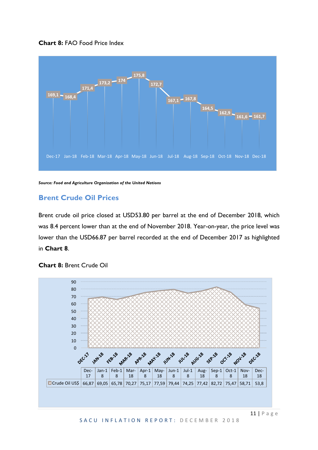



*Source: Food and Agriculture Organization of the United Nations*

#### **Brent Crude Oil Prices**

Brent crude oil price closed at USD53.80 per barrel at the end of December 2018, which was 8.4 percent lower than at the end of November 2018. Year-on-year, the price level was lower than the USD66.87 per barrel recorded at the end of December 2017 as highlighted in **Chart 8**.



**Chart 8:** Brent Crude Oil